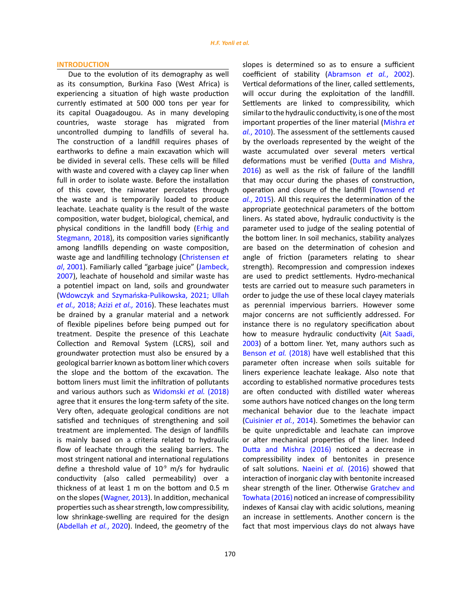slopes is determined so as to ensure a sufficient coefficient of stability [\(Abramson](#page-12-0) *et al.*, 2002). Vertical deformations of the liner, called settlements, will occur during the exploitation of the landfill. Settlements are linked to compressibility, which similar to the hydraulic conductivity, is one of the most important properties of the liner material ([Mishra](#page-12-0) *et al.*[, 2010\).](#page-12-0) The assessment of the settlements caused by the overloads represented by the weight of the waste accumulated over several meters vertical deformations must be verified [\(Dutta and Mishra,](#page-12-0) [2016](#page-12-0)) as well as the risk of failure of the landfill that may occur during the phases of construction, operation and closure of the landfill [\(Townsend](#page-12-0) *et al.*[, 2015\).](#page-12-0) All this requires the determination of the appropriate geotechnical parameters of the bottom liners. As stated above, hydraulic conductivity is the parameter used to judge of the sealing potential of the bottom liner. In soil mechanics, stability analyzes are based on the determination of cohesion and angle of friction (parameters relating to shear strength). Recompression and compression indexes are used to predict settlements. Hydro-mechanical tests are carried out to measure such parameters in order to judge the use of these local clayey materials as perennial impervious barriers. However some major concerns are not sufficiently addressed. For instance there is no regulatory specification about how to measure hydraulic conductivity [\(Ait Saadi,](#page-12-0) [2003\)](#page-12-0) of a bottom liner. Yet, many authors such as [Benson](#page-12-0) *et al.* (2018) have well established that this parameter often increase when soils suitable for

#### **INTRODUCTION**

Due to the evolution of its demography as well as its consumption, Burkina Faso (West Africa) is experiencing a situation of high waste production currently estimated at 500 000 tons per year for its capital Ouagadougou. As in many developing countries, waste storage has migrated from uncontrolled dumping to landfills of several ha. The construction of a landfill requires phases of earthworks to define a main excavation which will be divided in several cells. These cells will be filled with waste and covered with a clayey cap liner when full in order to isolate waste. Before the installation of this cover, the rainwater percolates through the waste and is temporarily loaded to produce leachate. Leachate quality is the result of the waste composition, water budget, biological, chemical, and physical conditions in the landfill body ([Erhig and](#page-12-0)  [Stegmann, 2018\)](#page-12-0), its composition varies significantly among landfills depending on waste composition, waste age and landfilling technology ([Christensen](#page-12-0) *et al*, [2001](#page-12-0)). Familiarly called "garbage juice" [\(Jambeck,](#page-12-0)  [2007](#page-12-0)), leachate of household and similar waste has a potentiel impact on land, soils and groundwater ([Wdowczyk and Szymańska-Pulikowska, 2021; Ullah](#page-12-0)  *et al.,* [2018; Azizi](#page-12-0) *et al.,* 2016). These leachates must be drained by a granular material and a network of flexible pipelines before being pumped out for treatment. Despite the presence of this Leachate Collection and Removal System (LCRS), soil and groundwater protection must also be ensured by a geological barrier known as bottom liner which covers the slope and the bottom of the excavation. The bottom liners must limit the infiltration of pollutants and various authors such as [Widomski](#page-12-0) *et al.* (2018) agree that it ensures the long-term safety of the site. Very often, adequate geological conditions are not satisfied and techniques of strengthening and soil treatment are implemented. The design of landfills is mainly based on a criteria related to hydraulic flow of leachate through the sealing barriers. The most stringent national and international regulations define a threshold value of  $10^{-9}$  m/s for hydraulic conductivity (also called permeability) over a thickness of at least 1 m on the bottom and 0.5 m on the slopes ([Wagner, 2013\).](#page-12-0) In addition, mechanical properties such as shear strength, low compressibility, low shrinkage-swelling are required for the design ([Abdellah](#page-12-0) *et al.*, 2020). Indeed, the geometry of the

liners experience leachate leakage. Also note that according to established normative procedures tests are often conducted with distilled water whereas some authors have noticed changes on the long term mechanical behavior due to the leachate impact [\(Cuisinier](#page-12-0) *et al.*, 2014). Sometimes the behavior can be quite unpredictable and leachate can improve or alter mechanical properties of the liner. Indeed [Dutta and Mishra \(2016\)](#page-12-0) noticed a decrease in compressibility index of bentonites in presence of salt solutions. Naeini *et al.* [\(2016\)](#page-12-0) showed that interaction of inorganic clay with bentonite increased shear strength of the liner. Otherwise [Gratchev and](#page-12-0) [Towhata \(2016\)](#page-12-0) noticed an increase of compressibility indexes of Kansai clay with acidic solutions, meaning an increase in settlements. Another concern is the fact that most impervious clays do not always have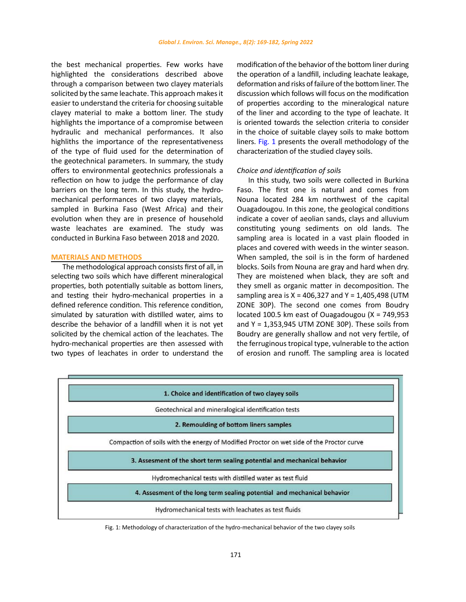the best mechanical properties. Few works have highlighted the considerations described above through a comparison between two clayey materials solicited by the same leachate. This approach makes it easier to understand the criteria for choosing suitable clayey material to make a bottom liner. The study highlights the importance of a compromise between hydraulic and mechanical performances. It also highliths the importance of the representativeness of the type of fluid used for the determination of the geotechnical parameters. In summary, the study offers to environmental geotechnics professionals a reflection on how to judge the performance of clay barriers on the long term. In this study, the hydromechanical performances of two clayey materials, sampled in Burkina Faso (West Africa) and their evolution when they are in presence of household waste leachates are examined. The study was conducted in Burkina Faso between 2018 and 2020.

## **MATERIALS AND METHODS**

The methodological approach consists first of all, in selecting two soils which have different mineralogical properties, both potentially suitable as bottom liners, and testing their hydro-mechanical properties in a defined reference condition. This reference condition, simulated by saturation with distilled water, aims to describe the behavior of a landfill when it is not yet solicited by the chemical action of the leachates. The hydro-mechanical properties are then assessed with two types of leachates in order to understand the modification of the behavior of the bottom liner during the operation of a landfill, including leachate leakage, deformation and risks of failure of the bottom liner. The discussion which follows will focus on the modification of properties according to the mineralogical nature of the liner and according to the type of leachate. It is oriented towards the selection criteria to consider in the choice of suitable clayey soils to make bottom liners. Fig. 1 presents the overall methodology of the characterization of the studied clayey soils.

## *Choice and identification of soils*

In this study, two soils were collected in Burkina Faso. The first one is natural and comes from Nouna located 284 km northwest of the capital Ouagadougou. In this zone, the geological conditions indicate a cover of aeolian sands, clays and alluvium constituting young sediments on old lands. The sampling area is located in a vast plain flooded in places and covered with weeds in the winter season. When sampled, the soil is in the form of hardened blocks. Soils from Nouna are gray and hard when dry. They are moistened when black, they are soft and they smell as organic matter in decomposition. The sampling area is  $X = 406,327$  and  $Y = 1,405,498$  (UTM ZONE 30P). The second one comes from Boudry located 100.5 km east of Ouagadougou (X = 749,953 and Y = 1,353,945 UTM ZONE 30P). These soils from Boudry are generally shallow and not very fertile, of the ferruginous tropical type, vulnerable to the action of erosion and runoff. The sampling area is located



Fig. 1: Methodology of characterization of the hydro-mechanical behavior of the two clayey soils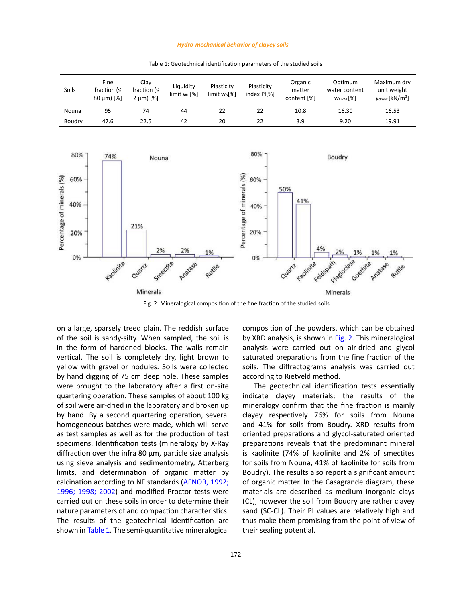#### *Hydro-mechanical behavior of clayey soils*

Table 1: Geotechnical identification parameters of the studied soils Table 1: Geotechnical identification parameters of the studied soils



Fig. 2: Mineralogical composition of the fine fraction of the studied soils

on a large, sparsely treed plain. The reddish surface of the soil is sandy-silty. When sampled, the soil is in the form of hardened blocks. The walls remain vertical. The soil is completely dry, light brown to yellow with gravel or nodules. Soils were collected by hand digging of 75 cm deep hole. These samples were brought to the laboratory after a first on-site quartering operation. These samples of about 100 kg of soil were air-dried in the laboratory and broken up by hand. By a second quartering operation, several homogeneous batches were made, which will serve as test samples as well as for the production of test specimens. Identification tests (mineralogy by X-Ray diffraction over the infra 80 μm, particle size analysis using sieve analysis and sedimentometry, Atterberg limits, and determination of organic matter by calcination according to NF standards [\(AFNOR, 1992;](#page-12-0)  [1996; 1998; 2002\)](#page-12-0) and modified Proctor tests were carried out on these soils in order to determine their nature parameters of and compaction characteristics. The results of the geotechnical identification are shown in Table 1. The semi-quantitative mineralogical composition of the powders, which can be obtained by XRD analysis, is shown in Fig. 2. This mineralogical analysis were carried out on air-dried and glycol saturated preparations from the fine fraction of the soils. The diffractograms analysis was carried out according to Rietveld method.

The geotechnical identification tests essentially indicate clayey materials; the results of the mineralogy confirm that the fine fraction is mainly clayey respectively 76% for soils from Nouna and 41% for soils from Boudry. XRD results from oriented preparations and glycol-saturated oriented preparations reveals that the predominant mineral is kaolinite (74% of kaolinite and 2% of smectites for soils from Nouna, 41% of kaolinite for soils from Boudry). The results also report a significant amount of organic matter. In the Casagrande diagram, these materials are described as medium inorganic clays (CL), however the soil from Boudry are rather clayey sand (SC-CL). Their PI values are relatively high and thus make them promising from the point of view of their sealing potential.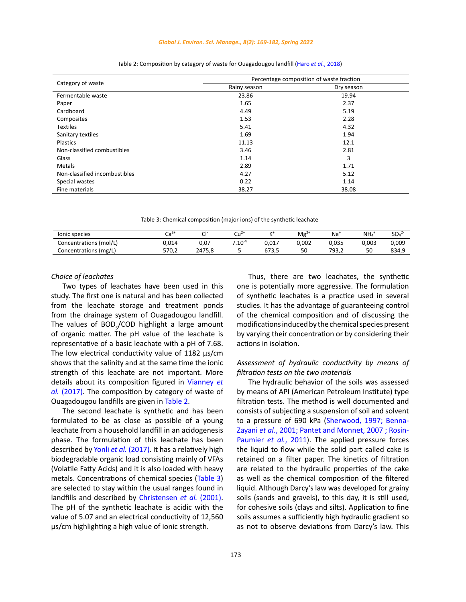#### *Global J. Environ. Sci. Manage., 8(2): 169-182, Spring 2022*

|                               | Percentage composition of waste fraction |            |  |
|-------------------------------|------------------------------------------|------------|--|
| Category of waste             | Rainy season                             | Dry season |  |
| Fermentable waste             | 23.86                                    | 19.94      |  |
| Paper                         | 1.65                                     | 2.37       |  |
| Cardboard                     | 4.49                                     | 5.19       |  |
| Composites                    | 1.53                                     | 2.28       |  |
| <b>Textiles</b>               | 5.41                                     | 4.32       |  |
| Sanitary textiles             | 1.69                                     | 1.94       |  |
| Plastics                      | 11.13                                    | 12.1       |  |
| Non-classified combustibles   | 3.46                                     | 2.81       |  |
| Glass                         | 1.14                                     | 3          |  |
| Metals                        | 2.89                                     | 1.71       |  |
| Non-classified incombustibles | 4.27                                     | 5.12       |  |
| Special wastes                | 0.22                                     | 1.14       |  |
| Fine materials                | 38.27                                    | 38.08      |  |

|  |  | Table 2: Composition by category of waste for Ouagadougou landfill (Haro et al., 2018) |  |  |
|--|--|----------------------------------------------------------------------------------------|--|--|
|--|--|----------------------------------------------------------------------------------------|--|--|

Table 3: Chemical composition (major ions) of the synthetic leachate Table 3: Chemical composition (major ions) of the synthetic leachate

| lonic species          | $C_{\mathbf{z}}$<br>ca | <b>CI-</b> | $\cdots$    | $+$   | $Mg^{2+}$ | $Na+$ | NH <sub>4</sub> | SO <sub>4</sub> <sup>2</sup> |
|------------------------|------------------------|------------|-------------|-------|-----------|-------|-----------------|------------------------------|
| Concentrations (mol/L) | 014.ر                  | 0.07       | $7.10^{-4}$ | 0.017 | 0.002     | 0,035 | 0.003           | 0,009                        |
| Concentrations (mg/L)  | 570.2                  | 2475.8     |             | 673.5 | 50        | 793.2 | 50              | 834,9                        |

### *Choice of leachates*

Two types of leachates have been used in this study. The first one is natural and has been collected from the leachate storage and treatment ponds from the drainage system of Ouagadougou landfill. The values of BOD<sub>5</sub>/COD highlight a large amount of organic matter. The pH value of the leachate is representative of a basic leachate with a pH of 7.68. The low electrical conductivity value of 1182 us/cm shows that the salinity and at the same time the ionic strength of this leachate are not important. More details about its composition figured in [Vianney](#page-12-0) *et al.* [\(2017\)](#page-12-0). The composition by category of waste of Ouagadougou landfills are given in Table 2.

The second leachate is synthetic and has been formulated to be as close as possible of a young leachate from a household landfill in an acidogenesis phase. The formulation of this leachate has been described by Yonli *et al.* [\(2017\)](#page-12-0). It has a relatively high biodegradable organic load consisting mainly of VFAs (Volatile Fatty Acids) and it is also loaded with heavy metals. Concentrations of chemical species (Table 3) are selected to stay within the usual ranges found in landfills and described by Christensen *et al.* (2001). The pH of the synthetic leachate is acidic with the value of 5.07 and an electrical conductivity of 12,560 µs/cm highlighting a high value of ionic strength.

Thus, there are two leachates, the synthetic one is potentially more aggressive. The formulation of synthetic leachates is a practice used in several studies. It has the advantage of guaranteeing control of the chemical composition and of discussing the modifications induced by the chemical species present by varying their concentration or by considering their actions in isolation.

# *Assessment of hydraulic conductivity by means of filtration tests on the two materials*

The hydraulic behavior of the soils was assessed by means of API (American Petroleum Institute) type filtration tests. The method is well documented and consists of subjecting a suspension of soil and solvent to a pressure of 690 kPa [\(Sherwood, 1997; Benna-](#page-12-0)Zayani *et al.*[, 2001; Pantet and Monnet, 2007 ; Rosin-](#page-12-0)Paumier *et al.*[, 2011\). T](#page-12-0)he applied pressure forces the liquid to flow while the solid part called cake is retained on a filter paper. The kinetics of filtration are related to the hydraulic properties of the cake as well as the chemical composition of the filtered liquid. Although Darcy's law was developed for grainy soils (sands and gravels), to this day, it is still used, for cohesive soils (clays and silts). Application to fine soils assumes a sufficiently high hydraulic gradient so as not to observe deviations from Darcy's law. This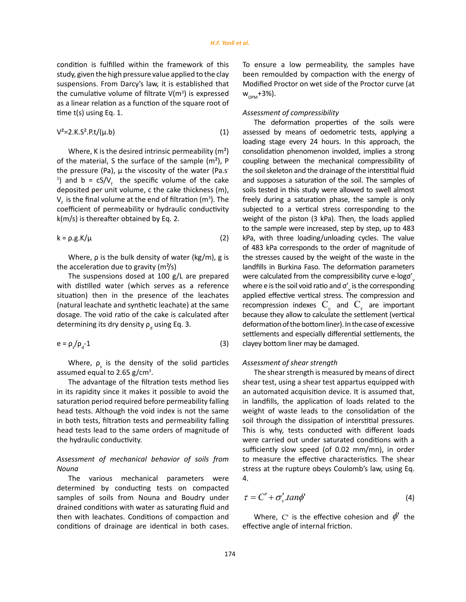condition is fulfilled within the framework of this study, given the high pressure value applied to the clay suspensions. From Darcy's law, it is established that the cumulative volume of filtrate  $V(m^3)$  is expressed as a linear relation as a function of the square root of time t(s) using Eq. 1.

$$
V^2 = 2.K.S^2.P.t/(\mu.b)
$$
 (1)

Where, K is the desired intrinsic permeability  $(m<sup>2</sup>)$ of the material, S the surface of the sample  $(m<sup>2</sup>)$ , P the pressure (Pa), μ the viscosity of the water (Pa.s<sup>-</sup> <sup>1</sup>) and b =  $cS/V_f$  the specific volume of the cake deposited per unit volume, c the cake thickness (m),  $V_f$  is the final volume at the end of filtration (m<sup>3</sup>). The coefficient of permeability or hydraulic conductivity k(m/s) is thereafter obtained by Eq. 2.

$$
k = \rho.g.K/\mu \tag{2}
$$

Where, ρ is the bulk density of water (kg/m), g is the acceleration due to gravity  $(m<sup>2</sup>/s)$ 

The suspensions dosed at 100 g/L are prepared with distilled water (which serves as a reference situation) then in the presence of the leachates (natural leachate and synthetic leachate) at the same dosage. The void ratio of the cake is calculated after determining its dry density  $\rho_d$  using Eq. 3.

$$
e = \rho_s / \rho_d - 1 \tag{3}
$$

Where,  $\rho_{\rm s}$  is the density of the solid particles assumed equal to 2.65  $g/cm<sup>3</sup>$ .

The advantage of the filtration tests method lies in its rapidity since it makes it possible to avoid the saturation period required before permeability falling head tests. Although the void index is not the same in both tests, filtration tests and permeability falling head tests lead to the same orders of magnitude of the hydraulic conductivity.

# *Assessment of mechanical behavior of soils from Nouna*

The various mechanical parameters were determined by conducting tests on compacted samples of soils from Nouna and Boudry under drained conditions with water as saturating fluid and then with leachates. Conditions of compaction and conditions of drainage are identical in both cases. To ensure a low permeability, the samples have been remoulded by compaction with the energy of Modified Proctor on wet side of the Proctor curve (at  $W_{OPM}$ +3%).

## *Assessment of compressibility*

The deformation properties of the soils were assessed by means of oedometric tests, applying a loading stage every 24 hours. In this approach, the consolidation phenomenon involded, implies a strong coupling between the mechanical compressibility of the soil skeleton and the drainage of the interstitial fluid and supposes a saturation of the soil. The samples of soils tested in this study were allowed to swell almost freely during a saturation phase, the sample is only subjected to a vertical stress corresponding to the weight of the piston (3 kPa). Then, the loads applied to the sample were increased, step by step, up to 483 kPa, with three loading/unloading cycles. The value of 483 kPa corresponds to the order of magnitude of the stresses caused by the weight of the waste in the landfills in Burkina Faso. The deformation parameters were calculated from the compressibility curve e-logo' where e is the soil void ratio and  $\sigma'_{\nu}$  is the corresponding applied effective vertical stress. The compression and recompression indexes  $C_c$  and  $C_r$  are important because they allow to calculate the settlement (vertical deformation of the bottom liner). In the case of excessive settlements and especially differential settlements, the clayey bottom liner may be damaged.

#### *Assessment of shear strength*

The shear strength is measured by means of direct shear test, using a shear test appartus equipped with an automated acquisition device. It is assumed that, in landfills, the application of loads related to the weight of waste leads to the consolidation of the soil through the dissipation of interstitial pressures. This is why, tests conducted with different loads were carried out under saturated conditions with a sufficiently slow speed (of 0.02 mm/mn), in order to measure the effective characteristics. The shear stress at the rupture obeys Coulomb's law, using Eq. 4.

$$
\tau = C' + \sigma_v' . tan\phi'
$$
 (4)

Where, C' is the effective cohesion and  $\phi'$  the effective angle of internal friction.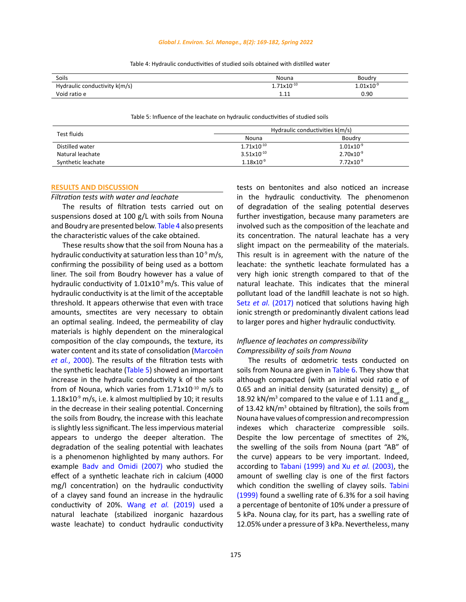#### *Global J. Environ. Sci. Manage., 8(2): 169-182, Spring 2022*

| Soils                         | Nouna                  | Boudry             |
|-------------------------------|------------------------|--------------------|
| Hydraulic conductivity k(m/s) | $1.71 \times 10^{-10}$ | $1.01$ x $10^{-9}$ |
| Void ratio e                  | 44<br>.                | 0.90               |

Table 4: Hydraulic conductivities of studied soils obtained with distilled water Table 4: Hydraulic conductivities of studied soils obtained with distilled water

Table 5: Influence of the leachate on hydraulic conductivities of studied soils Table 5: Influence of the leachate on hydraulic conductivities of studied soils

| Test fluids        | Hydraulic conductivities k(m/s) |                       |  |
|--------------------|---------------------------------|-----------------------|--|
|                    | Nouna                           | Boudry                |  |
| Distilled water    | $1.71x10^{-10}$                 | $1.01\times10^{-9}$   |  |
| Natural leachate   | $3.51x10^{-10}$                 | $2.70x10^{-9}$        |  |
| Synthetic leachate | $1.18\times10^{-9}$             | $7.72 \times 10^{-9}$ |  |

#### **RESULTS AND DISCUSSION**

## *Filtration tests with water and leachate*

The results of filtration tests carried out on suspensions dosed at 100 g/L with soils from Nouna and Boudry are presented below. Table 4 also presents the characteristic values of the cake obtained.

These results show that the soil from Nouna has a hydraulic conductivity at saturation less than  $10^{-9}$  m/s, confirming the possibility of being used as a bottom liner. The soil from Boudry however has a value of hydraulic conductivity of  $1.01x10^{-9}$  m/s. This value of hydraulic conductivity is at the limit of the acceptable threshold. It appears otherwise that even with trace amounts, smectites are very necessary to obtain an optimal sealing. Indeed, the permeability of clay materials is highly dependent on the mineralogical composition of the clay compounds, the texture, its water content and its state of consolidation ([Marcoën](#page-12-0)  *et al.*[, 2000\).](#page-12-0) The results of the filtration tests with the synthetic leachate (Table 5) showed an important increase in the hydraulic conductivity k of the soils from of Nouna, which varies from  $1.71x10^{-10}$  m/s to 1.18 $x10^{-9}$  m/s, i.e. k almost multiplied by 10; it results in the decrease in their sealing potential. Concerning the soils from Boudry, the increase with this leachate is slightly less significant. The less impervious material appears to undergo the deeper alteration. The degradation of the sealing potential with leachates is a phenomenon highlighted by many authors. For example [Badv and Omidi \(2007\)](#page-12-0) who studied the effect of a synthetic leachate rich in calcium (4000 mg/l concentration) on the hydraulic conductivity of a clayey sand found an increase in the hydraulic conductivity of 20%. Wang *et al.* [\(2019\)](#page-12-0) used a natural leachate (stabilized inorganic hazardous waste leachate) to conduct hydraulic conductivity tests on bentonites and also noticed an increase in the hydraulic conductivity. The phenomenon of degradation of the sealing potential deserves further investigation, because many parameters are involved such as the composition of the leachate and its concentration. The natural leachate has a very slight impact on the permeability of the materials. This result is in agreement with the nature of the leachate: the synthetic leachate formulated has a very high ionic strength compared to that of the natural leachate. This indicates that the mineral pollutant load of the landfill leachate is not so high. Setz *et al.* [\(2017\)](#page-12-0) noticed that solutions having [high](https://www.sciencedirect.com/topics/engineering/high-ionic-strength) [ionic strength](https://www.sciencedirect.com/topics/engineering/high-ionic-strength) or predominantly [divalent cations](https://www.sciencedirect.com/topics/engineering/divalent-cation) lead to larger pores and higher hydraulic conductivity.

# *Influence of leachates on compressibility Compressibility of soils from Nouna*

The results of œdometric tests conducted on soils from Nouna are given in [Table 6.](#page-7-0) They show that although compacted (with an initial void ratio e of 0.65 and an initial density (saturated density)  $g_{\text{est}}$  of 18.92 kN/m<sup>3</sup> compared to the value e of 1.11 and  $g_{\text{sat}}$ of 13.42 kN/m<sup>3</sup> obtained by filtration), the soils from Nouna have values of compression and recompression indexes which characterize compressible soils. Despite the low percentage of smectites of 2%, the swelling of the soils from Nouna (part "AB" of the curve) appears to be very important. Indeed, according to [Tabani \(1999\) and Xu](#page-12-0) *et al.* (2003), the amount of swelling clay is one of the first factors which condition the swelling of clayey soils. [Tabini](#page-12-0) [\(1999\)](#page-12-0) found a swelling rate of 6.3% for a soil having a percentage of bentonite of 10% under a pressure of 5 kPa. Nouna clay, for its part, has a swelling rate of 12.05% under a pressure of 3 kPa. Nevertheless, many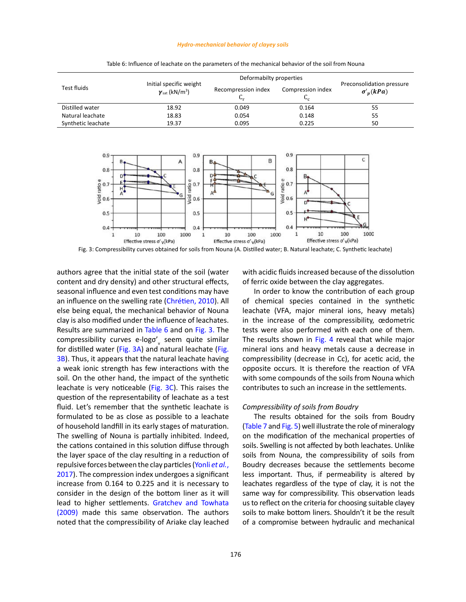#### *Hydro-mechanical behavior of clayey soils*

<span id="page-7-0"></span>

|                    |                                                                       | Deformabilty properties   |                                     |                                               |
|--------------------|-----------------------------------------------------------------------|---------------------------|-------------------------------------|-----------------------------------------------|
| Test fluids        | Initial specific weight<br>$\gamma_{\text{sat}}$ (kN/m <sup>3</sup> ) | Recompression index<br>Նր | Compression index<br>$\mathbf{v}_0$ | Preconsolidation pressure<br>$\sigma'_n(kPa)$ |
| Distilled water    | 18.92                                                                 | 0.049                     | 0.164                               | 55                                            |
| Natural leachate   | 18.83                                                                 | 0.054                     | 0.148                               | 55                                            |
| Synthetic leachate | 19.37                                                                 | 0.095                     | 0.225                               | 50                                            |

Table 6: Influence of leachate on the parameters of the mechanical behavior of the soil from Nouna Table 6: Influence of leachate on the parameters of the mechanical behavior of the soil from Nouna



Fig. 3: Compressibility curves obtained for soils from Nouna (A. Distilled water; B. Natural leachate; C. Synthetic leachate)

authors agree that the initial state of the soil (water content and dry density) and other structural effects, seasonal influence and even test conditions may have an influence on the swelling rate (Chrétien, 2010). All else being equal, the mechanical behavior of Nouna clay is also modified under the influence of leachates. Results are summarized in Table 6 and on Fig. 3. The compressibility curves e-logo'<sub>v</sub> seem quite similar for distilled water (Fig. 3A) and natural leachate (Fig. 3B). Thus, it appears that the natural leachate having a weak ionic strength has few interactions with the soil. On the other hand, the impact of the synthetic leachate is very noticeable (Fig. 3C). This raises the question of the representability of leachate as a test fluid. Let's remember that the synthetic leachate is formulated to be as close as possible to a leachate of household landfill in its early stages of maturation. The swelling of Nouna is partially inhibited. Indeed, the cations contained in this solution diffuse through the layer space of the clay resulting in a reduction of repulsive forces between the clay particles [\(Yonli](#page-12-0) *et al.*, [2017](#page-12-0)). The compression index undergoes a significant increase from 0.164 to 0.225 and it is necessary to consider in the design of the bottom liner as it will lead to higher settlements. [Gratchev and Towhata](#page-12-0)  [\(2009\)](#page-12-0) made this same observation. The authors noted that the compressibility of Ariake clay leached

with acidic fluids increased because of the dissolution of ferric oxide between the clay aggregates.

In order to know the contribution of each group of chemical species contained in the synthetic leachate (VFA, major mineral ions, heavy metals) in the increase of the compressibility, œdometric tests were also performed with each one of them. The results shown in [Fig. 4](#page-8-0) reveal that while major mineral ions and heavy metals cause a decrease in compressibility (decrease in Cc), for acetic acid, the opposite occurs. It is therefore the reaction of VFA with some compounds of the soils from Nouna which contributes to such an increase in the settlements.

#### *Compressibility of soils from Boudry*

The results obtained for the soils from Boudry ([Table 7](#page-8-0) and Fig. 5) well illustrate the role of mineralogy on the modification of the mechanical properties of soils. Swelling is not affected by both leachates. Unlike soils from Nouna, the compressibility of soils from Boudry decreases because the settlements become less important. Thus, if permeability is altered by leachates regardless of the type of clay, it is not the same way for compressibility. This observation leads us to reflect on the criteria for choosing suitable clayey soils to make bottom liners. Shouldn't it be the result of a compromise between hydraulic and mechanical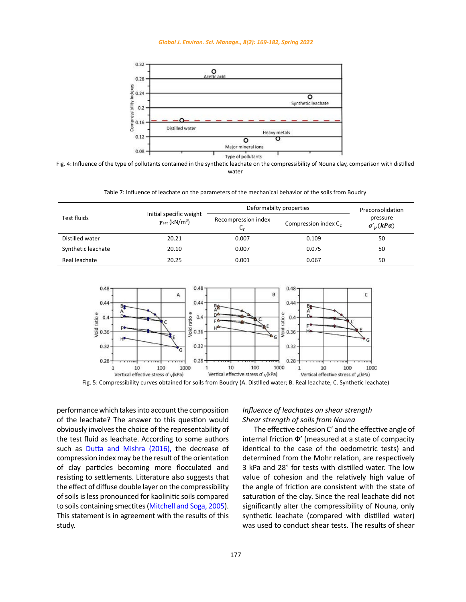#### *Global J. Environ. Sci. Manage., 8(2): 169-182, Spring 2022*

<span id="page-8-0"></span>

Fig. 4: Influence of the type of pollutants contained in the synthetic leachate on the compressibility of Nouna clay, comparison with distilled  $W$ dier water

Table 7: Influence of leachate on the parameters of the mechanical behavior of the soils from Boudry Table 7: Influence of leachate on the parameters of the mechanical behavior of the soils from Boudry

|                    |                                                                       | Deformabilty properties        | Preconsolidation        |                              |
|--------------------|-----------------------------------------------------------------------|--------------------------------|-------------------------|------------------------------|
| Test fluids        | Initial specific weight<br>$\gamma_{\text{sat}}$ (kN/m <sup>3</sup> ) | Recompression index<br>$C_{r}$ | Compression index $C_c$ | pressure<br>$\sigma'_n(kPa)$ |
| Distilled water    | 20.21                                                                 | 0.007                          | 0.109                   | 50                           |
| Synthetic leachate | 20.10                                                                 | 0.007                          | 0.075                   | 50                           |
| Real leachate      | 20.25                                                                 | 0.001                          | 0.067                   | 50                           |



Fig. 5: Compressibility curves obtained for soils from Boudry (A. Distilled water; B. Real leachate; C. Synthetic leachate)

performance which takes into account the composition of the leachate? The answer to this question would obviously involves the choice of the representability of the test fluid as leachate. According to some authors such as [Dutta and Mishra \(2016\),](#page-12-0) the decrease of compression index may be the result of the orientation of clay particles becoming more flocculated and resisting to settlements. Litterature also suggests that the effect of diffuse double layer on the compressibility of soils is less pronounced for kaolinitic soils compared to soils containing smectites [\(Mitchell and Soga, 2005\).](#page-12-0)  This statement is in agreement with the results of this study.

# *Influence of leachates on shear strength Shear strength of soils from Nouna*

The effective cohesion C' and the effective angle of internal friction Ф' (measured at a state of compacity identical to the case of the oedometric tests) and determined from the Mohr relation, are respectively 3 kPa and 28° for tests with distilled water. The low value of cohesion and the relatively high value of the angle of friction are consistent with the state of saturation of the clay. Since the real leachate did not significantly alter the compressibility of Nouna, only synthetic leachate (compared with distilled water) was used to conduct shear tests. The results of shear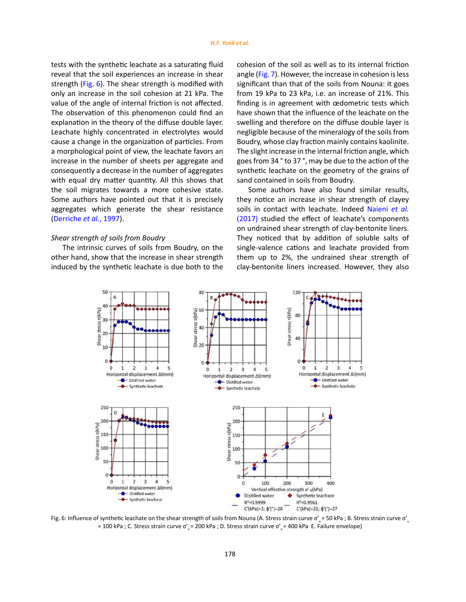tests with the synthetic leachate as a saturating fluid reveal that the soil experiences an increase in shear strength (Fig. 6). The shear strength is modified with only an increase in the soil cohesion at 21 kPa. The value of the angle of internal friction is not affected. The observation of this phenomenon could find an explanation in the theory of the diffuse double layer. Leachate highly concentrated in electrolytes would cause a change in the organization of particles. From a morphological point of view, the leachate favors an increase in the number of sheets per aggregate and consequently a decrease in the number of aggregates with equal dry matter quantity. All this shows that the soil migrates towards a more cohesive state. Some authors have pointed out that it is precisely aggregates which generate the shear resistance [\(Derriche](#page-12-0) *et al.*, 1997).

## *Shear strength of soils from Boudry*

The intrinsic curves of soils from Boudry, on the other hand, show that the increase in shear strength induced by the synthetic leachate is due both to the

cohesion of the soil as well as to its internal friction angle ([Fig. 7\).](#page-10-0) However, the increase in cohesion is less significant than that of the soils from Nouna: it goes from 19 kPa to 23 kPa, i.e. an increase of 21%. This finding is in agreement with œdometric tests which have shown that the influence of the leachate on the swelling and therefore on the diffuse double layer is negligible because of the mineralogy of the soils from Boudry, whose clay fraction mainly contains kaolinite. The slight increase in the internal friction angle, which goes from 34 ° to 37 °, may be due to the action of the synthetic leachate on the geometry of the grains of sand contained in soils from Boudry.

Some authors have also found similar results, they notice an increase in shear strength of clayey soils in contact with leachate. Indeed [Naieni](#page-12-0) *et al.* [\(2017\)](#page-12-0) studied the effect of leachate's components on undrained shear strength of clay-bentonite liners. They noticed that by addition of soluble salts of single-valence cations and leachate provided from them up to 2%, the undrained shear strength of clay-bentonite liners increased. However, they also



Fig. 6: Influence of synthetic leachate on the shear strength of soils from Nouna (A. Stress strain curve  $\sigma'$  = 50 kPa; B. Stress strain curve  $\sigma'$ ,  $\sigma$ = 100 kPa ; C. Stress strain curve  $\sigma'$ <sub>v</sub>= 200 kPa ; D. Stress strain curve  $\sigma'$ <sub>v</sub>= 400 kPa E. Failure envelope)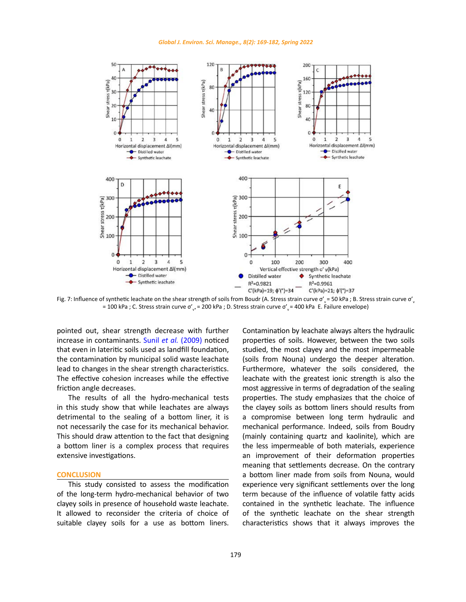

<span id="page-10-0"></span>

= 100 kPa ; C. Stress strain curve  $\sigma'_{v^*}$  = 200 kPa ; D. Stress strain curve  $\sigma'_{v}$  = 400 kPa E. Failure envelope)  $\mathcal{L}_{\mathcal{A}}$  = 50 kPa ; B. Stress strain curve  $\mathcal{L}_{\mathcal{A}}$ Fig. 7: Influence of synthetic leachate on the shear strength of soils from Boudr (A. Stress strain curve o' = 50 kPa ; B. Stress strain curve o'

pointed out, shear strength decrease with further increase in contaminants. Sunil *et al.* [\(2009\)](#page-12-0) noticed that even in lateritic soils used as landfill foundation, the contamination by municipal solid waste leachate lead to changes in the shear strength characteristics. The effective cohesion increases while the effective friction angle decreases.

The results of all the hydro-mechanical tests in this study show that while leachates are always detrimental to the sealing of a bottom liner, it is not necessarily the case for its mechanical behavior. This should draw attention to the fact that designing a bottom liner is a complex process that requires extensive investigations.

## **CONCLUSION**

This study consisted to assess the modification of the long-term hydro-mechanical behavior of two clayey soils in presence of household waste leachate. It allowed to reconsider the criteria of choice of suitable clayey soils for a use as bottom liners. Contamination by leachate always alters the hydraulic properties of soils. However, between the two soils studied, the most clayey and the most impermeable (soils from Nouna) undergo the deeper alteration. Furthermore, whatever the soils considered, the leachate with the greatest ionic strength is also the most aggressive in terms of degradation of the sealing properties. The study emphasizes that the choice of the clayey soils as bottom liners should results from a compromise between long term hydraulic and mechanical performance. Indeed, soils from Boudry (mainly containing quartz and kaolinite), which are the less impermeable of both materials, experience an improvement of their deformation properties meaning that settlements decrease. On the contrary a bottom liner made from soils from Nouna, would experience very significant settlements over the long term because of the influence of volatile fatty acids contained in the synthetic leachate. The influence of the synthetic leachate on the shear strength characteristics shows that it always improves the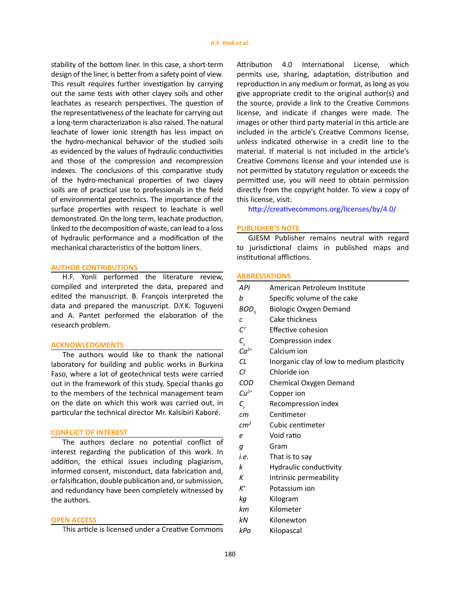stability of the bottom liner. In this case, a short-term design of the liner, is better from a safety point of view. This result requires further investigation by carrying out the same tests with other clayey soils and other leachates as research perspectives. The question of the representativeness of the leachate for carrying out a long-term characterization is also raised. The natural leachate of lower ionic strength has less impact on the hydro-mechanical behavior of the studied soils as evidenced by the values of hydraulic conductivities and those of the compression and recompression indexes. The conclusions of this comparative study of the hydro-mechanical properties of two clayey soils are of practical use to professionals in the field of environmental geotechnics. The importance of the surface properties with respect to leachate is well demonstrated. On the long term, leachate production, linked to the decomposition of waste, can lead to a loss of hydraulic performance and a modification of the mechanical characteristics of the bottom liners.

### **AUTHOR CONTRIBUTIONS**

H.F. Yonli performed the literature review, compiled and interpreted the data, prepared and edited the manuscript. B. François interpreted the data and prepared the manuscript. D.Y.K. Toguyeni and A. Pantet performed the elaboration of the research problem.

### **ACKNOWLEDGMENTS**

The authors would like to thank the national laboratory for building and public works in Burkina Faso, where a lot of geotechnical tests were carried out in the framework of this study. Special thanks go to the members of the technical management team on the date on which this work was carried out, in particular the technical director Mr. Kalsibiri Kaboré.

## **CONFLICT OF INTEREST**

The authors declare no potential conflict of interest regarding the publication of this work. In addition, the ethical issues including plagiarism, informed consent, misconduct, data fabrication and, or falsification, double publication and, or submission, and redundancy have been completely witnessed by the authors.

## **OPEN ACCESS**

This article is licensed under a Creative Commons

Attribution 4.0 International License, which permits use, sharing, adaptation, distribution and reproduction in any medium or format, as long as you give appropriate credit to the original author(s) and the source, provide a link to the Creative Commons license, and indicate if changes were made. The images or other third party material in this article are included in the article's Creative Commons license, unless indicated otherwise in a credit line to the material. If material is not included in the article's Creative Commons license and your intended use is not permitted by statutory regulation or exceeds the permitted use, you will need to obtain permission directly from the copyright holder. To view a copy of this license, visit:

http://creativecommons.org/licenses/by/4.0/

### **PUBLISHER'S NOTE**

GJESM Publisher remains neutral with regard to jurisdictional claims in published maps and institutional afflictions.

#### **ABBREVIATIONS**

| API              | American Petroleum Institute               |
|------------------|--------------------------------------------|
| b                | Specific volume of the cake                |
| BOD <sub>5</sub> | <b>Biologic Oxygen Demand</b>              |
| с                | Cake thickness                             |
| $\mathcal{C}'$   | Effective cohesion                         |
| $\mathcal{C}_c$  | Compression index                          |
| $Ca^{2+}$        | Calcium ion                                |
| <b>CL</b>        | Inorganic clay of low to medium plasticity |
| Сŀ               | Chloride ion                               |
| COD              | Chemical Oxygen Demand                     |
| $Cu2+$           | Copper ion                                 |
| $C_{r}$          | Recompression index                        |
| cm               | Centimeter                                 |
| cm <sup>3</sup>  | Cubic centimeter                           |
| e                | Void ratio                                 |
| g                | Gram                                       |
| i.e.             | That is to say                             |
| k                | Hydraulic conductivity                     |
| К                | Intrinsic permeability                     |
| $K^+$            | Potassium ion                              |
| kg               | Kilogram                                   |
| kт               | Kilometer                                  |
| kΝ               | Kilonewton                                 |
|                  |                                            |

*kPa* Kilopascal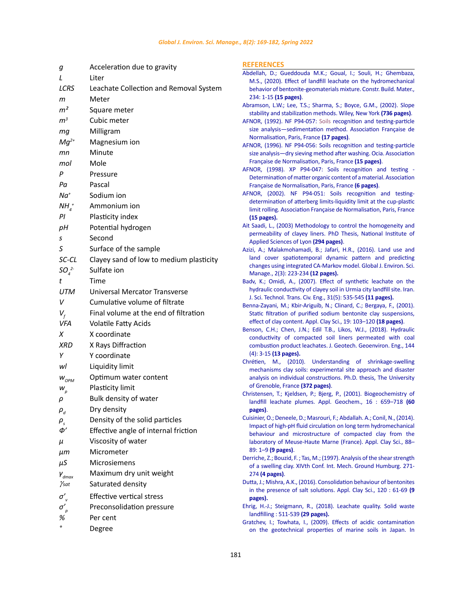<span id="page-12-0"></span>

| g                            | Acceleration due to gravity             | <b>REFERENCE</b>                       |
|------------------------------|-----------------------------------------|----------------------------------------|
| L                            | Liter                                   | Abdellah, D.;                          |
| <b>LCRS</b>                  | Leachate Collection and Removal System  | M.S., (2020<br>behavior of             |
| m                            | Meter                                   | 234: 1-15 <b>(1</b>                    |
|                              |                                         | Abramson, L.V                          |
| m <sup>2</sup>               | Square meter                            | stability and                          |
| m <sup>3</sup>               | Cubic meter                             | AFNOR, (1992                           |
| mg                           | Milligram                               | size analysi<br>Normalisati            |
| $Mg^{2+}$                    | Magnesium ion                           | <b>AFNOR, (1996</b>                    |
| mп                           | Minute                                  | size analysis                          |
| mol                          | Mole                                    | Française de                           |
| P                            | Pressure                                | AFNOR, (199)                           |
| Pа                           | Pascal                                  | Determinat                             |
|                              |                                         | Française de<br><b>AFNOR, (200</b>     |
| $Na+$                        | Sodium ion                              | determinati                            |
| $NHA+$                       | Ammonium ion                            | limit rolling.                         |
| PI                           | Plasticity index                        | (15 pages).                            |
| рH                           | Potential hydrogen                      | Ait Saadi, L., (                       |
| s                            | Second                                  | permeabilit                            |
| S                            | Surface of the sample                   | <b>Applied Scie</b><br>Azizi, A.; Mala |
| SC-CL                        | Clayey sand of low to medium plasticity | land cover                             |
|                              |                                         | changes usi                            |
| SO <sub>a</sub> <sup>2</sup> | Sulfate ion                             | Manage., 2                             |
| t                            | Time                                    | Badv, K.; Omi                          |
| <b>UTM</b>                   | Universal Mercator Transverse           | hydraulic co<br>J. Sci. Techn          |
| v                            | Cumulative volume of filtrate           | Benna-Zayani,                          |
| $V_f$                        | Final volume at the end of filtration   | Static filtrat                         |
| VFA                          | Volatile Fatty Acids                    | effect of cla                          |
| х                            | X coordinate                            | Benson, C.H.;                          |
| XRD                          | X Rays Diffraction                      | conductivity                           |
| Υ                            |                                         | combustion<br>(4): 3-15 <b>(1</b> 3    |
|                              | Y coordinate                            | Chrétien, M.                           |
| wl                           | Liquidity limit                         | mechanism                              |
| $W_{OPM}$                    | Optimum water content                   | analysis on                            |
| $W_p$                        | Plasticity limit                        | of Grenoble                            |
| ρ                            | Bulk density of water                   | Christensen, T<br>landfill lead        |
| $P_d$                        | Dry density                             | pages).                                |
| $\rho_{_S}$                  | Density of the solid particles          | Cuisinier, O.; D                       |
| Φ΄                           | Effective angle of internal friction    | Impact of hi                           |
|                              | Viscosity of water                      | behaviour                              |
| μ                            |                                         | laboratory<br>89: 1-9 (9 p             |
| $\mu$ m                      | Micrometer                              | Derriche, Z.; Bo                       |
| μS                           | Microsiemens                            | of a swellin                           |
| $\boldsymbol{V}_{dmax}$      | Maximum dry unit weight                 | 274 <b>(4 page</b>                     |
| Ysat                         | Saturated density                       | Dutta, J.; Mishi                       |
| $\sigma'$                    | <b>Effective vertical stress</b>        | in the prese<br>pages).                |
| $\sigma'_{{}_p}$             | Preconsolidation pressure               | Ehrig, H.-J.; St                       |
| %                            | Per cent                                | landfilling:                           |
| $\mathbf{o}$                 |                                         | Gratchev, I.; 1                        |
|                              | Degree                                  | on the ger                             |

#### **REFERENCES**

AFNOR, (1992). NF P94-057: Soils recognition and testing-particle size analysis—sedimentation method. Association Française de Normalisation, Paris, France **(17 pages)**.

[AFNOR, \(1996\). NF P94-056: Soils recognition and testing-particle](https://www.boutique.afnor.org/norme/nf-p94-056/sols-reconnaissance-et-essais-analyse-granulometrique-methode-par-tamisage-a-sec-apres-lavage/article/715558/fa026936) [size analysis—dry sieving method after washing. Ocia. Association](https://www.boutique.afnor.org/norme/nf-p94-056/sols-reconnaissance-et-essais-analyse-granulometrique-methode-par-tamisage-a-sec-apres-lavage/article/715558/fa026936) [Française de Normalisation, Paris, France](https://www.boutique.afnor.org/norme/nf-p94-056/sols-reconnaissance-et-essais-analyse-granulometrique-methode-par-tamisage-a-sec-apres-lavage/article/715558/fa026936) **(15 pages)**.

[AFNOR, \(1998\). XP P94-047: Soils recognition and testing -](https://www.boutique.afnor.org/norme/xp-p94-047/sols-reconnaissance-et-essais-determination-de-la-teneur-ponderale-en-matieres-organiques-d-un-materiau-methode-par-calcination/article/714260/fa018765) [Determination of matter organic content of a material. Association](https://www.boutique.afnor.org/norme/xp-p94-047/sols-reconnaissance-et-essais-determination-de-la-teneur-ponderale-en-matieres-organiques-d-un-materiau-methode-par-calcination/article/714260/fa018765) [Française de Normalisation, Paris, France](https://www.boutique.afnor.org/norme/xp-p94-047/sols-reconnaissance-et-essais-determination-de-la-teneur-ponderale-en-matieres-organiques-d-un-materiau-methode-par-calcination/article/714260/fa018765) **(6 pages)**.

[AFNOR, \(2002\). NF P94-051: Soils recognition and testing](https://www.boutique.afnor.org/norme/nf-p94-051/sols-reconnaissance-et-essais-determination-des-limites-d-atterberg-limite-de-liquidite-a-la-coupelle-limite-de-plasticite-au-ro/article/706393/fa020765)[determination of atterberg limits-liquidity limit at the cup-plastic](https://www.boutique.afnor.org/norme/nf-p94-051/sols-reconnaissance-et-essais-determination-des-limites-d-atterberg-limite-de-liquidite-a-la-coupelle-limite-de-plasticite-au-ro/article/706393/fa020765) [limit rolling. Association Française de Normalisation, Paris, France](https://www.boutique.afnor.org/norme/nf-p94-051/sols-reconnaissance-et-essais-determination-des-limites-d-atterberg-limite-de-liquidite-a-la-coupelle-limite-de-plasticite-au-ro/article/706393/fa020765) **[\(15 pages\).](https://www.boutique.afnor.org/norme/nf-p94-051/sols-reconnaissance-et-essais-determination-des-limites-d-atterberg-limite-de-liquidite-a-la-coupelle-limite-de-plasticite-au-ro/article/706393/fa020765)**

[Ait Saadi, L., \(2003\) Methodology to control the homogeneity and](http://theses.insa-lyon.fr/publication/2003ISAL0043/these.pdf) [permeability of clayey liners. PhD Thesis, National Institute of](http://theses.insa-lyon.fr/publication/2003ISAL0043/these.pdf) [Applied Sciences of Lyon](http://theses.insa-lyon.fr/publication/2003ISAL0043/these.pdf) **(294 pages)**.

*SC-CL* Clayey sand of low to medium plasticity [land cover spatiotemporal dynamic pattern and predicting](https://www.gjesm.net/?_action=article&keywords=azizi) [Azizi, A.; Malakmohamadi, B.; Jafari, H.R., \(2016\). Land use and](https://www.gjesm.net/?_action=article&keywords=azizi) [changes using integrated CA-Markov model. Global J. Environ. Sci.](https://www.gjesm.net/?_action=article&keywords=azizi) [Manage., 2\(3\): 223-234](https://www.gjesm.net/?_action=article&keywords=azizi) **(12 pages).**

> [Badv, K.; Omidi, A., \(2007\). Effect of synthetic leachate on the](https://ijstc.shirazu.ac.ir/article_753_233e9ed868891186806a1663f3b0d5ab.pdf) [hydraulic conductivity of clayey soil in Urmia city landfill site. Iran.](https://ijstc.shirazu.ac.ir/article_753_233e9ed868891186806a1663f3b0d5ab.pdf) [J. Sci. Technol. Trans. Civ. Eng., 31\(5\): 535-545](https://ijstc.shirazu.ac.ir/article_753_233e9ed868891186806a1663f3b0d5ab.pdf) **(11 pages).**

> [Benna-Zayani, M.; Kbir-Ariguib, N.; Clinard, C.; Bergaya, F., \(2001\).](https://www.sciencedirect.com/science/article/abs/pii/S0169131701000503) [Static filtration of purified sodium bentonite clay suspensions,](https://www.sciencedirect.com/science/article/abs/pii/S0169131701000503) [effect of clay content. Appl. Clay Sci., 19: 103–120](https://www.sciencedirect.com/science/article/abs/pii/S0169131701000503) **(18 pages)**.

> [Benson, C.H.; Chen, J.N.; Edil T.B., Likos, W.J., \(2018\). Hydraulic](https://ascelibrary.org/doi/pdf/10.1061/%28ASCE%29GT.1943-5606.0001855) [conductivity of compacted soil liners permeated with coal](https://ascelibrary.org/doi/pdf/10.1061/%28ASCE%29GT.1943-5606.0001855) [combustion product leachates. J. Geotech. Geoenviron. Eng., 144](https://ascelibrary.org/doi/pdf/10.1061/%28ASCE%29GT.1943-5606.0001855) (4): 3-15 **[\(13 pages\).](https://ascelibrary.org/doi/pdf/10.1061/%28ASCE%29GT.1943-5606.0001855)**

> [Chrétien, M., \(2010\). Understanding of shrinkage-swelling](http://ori-oai.u-bordeaux1.fr/pdf/2010/CHRETIEN_MARIE_2010.pdf) [mechanisms clay soils: experimental site approach and disaster](http://ori-oai.u-bordeaux1.fr/pdf/2010/CHRETIEN_MARIE_2010.pdf) [analysis on individual constructions. Ph.D. thesis, The University](http://ori-oai.u-bordeaux1.fr/pdf/2010/CHRETIEN_MARIE_2010.pdf) [of Grenoble, France](http://ori-oai.u-bordeaux1.fr/pdf/2010/CHRETIEN_MARIE_2010.pdf) **(372 pages)**.

> [Christensen, T.; Kjeldsen, P.; Bjerg, P., \(2001\). Biogeochemistry of](https://www.sciencedirect.com/science/article/abs/pii/S0883292700000822) [landfill leachate plumes. Appl. Geochem., 16 : 659–718](https://www.sciencedirect.com/science/article/abs/pii/S0883292700000822) **(60 [pages\)](https://www.sciencedirect.com/science/article/abs/pii/S0883292700000822)**.

> [Cuisinier, O.; Deneele, D.; Masrouri, F.; Abdallah. A.; Conil, N., \(2014\).](https://www.sciencedirect.com/science/article/abs/pii/S016913171300416X) [Impact of high-pH fluid circulation on long term hydromechanical](https://www.sciencedirect.com/science/article/abs/pii/S016913171300416X) [behaviour and microstructure of compacted clay from the](https://www.sciencedirect.com/science/article/abs/pii/S016913171300416X) [laboratory of Meuse-Haute Marne \(France\). Appl. Clay Sci., 88–](https://www.sciencedirect.com/science/article/abs/pii/S016913171300416X) 89: 1–9 **[\(9 pages\)](https://www.sciencedirect.com/science/article/abs/pii/S016913171300416X)**.

> Derriche, Z.; Bouzid, F. [; Tas, M.; \(1997\). Analysis of the shear strength](https://www.issmge.org/uploads/publications/1/31/1997_01_0070.pdf) [of a swelling clay. XIVth Conf. Int. Mech. Ground Humburg. 271-](https://www.issmge.org/uploads/publications/1/31/1997_01_0070.pdf) 274 **[\(4 pages\)](https://www.issmge.org/uploads/publications/1/31/1997_01_0070.pdf)**.

> [Dutta, J.; Mishra, A.K., \(2016\). Consolidation behaviour of bentonites](https://www.sciencedirect.com/science/article/abs/pii/S0169131715301927) [in the presence of salt solutions. Appl. Clay Sci., 120 : 61-69](https://www.sciencedirect.com/science/article/abs/pii/S0169131715301927) **(9 [pages\).](https://www.sciencedirect.com/science/article/abs/pii/S0169131715301927)**

> [Ehrig, H.-J.; Steigmann, R., \(2018\). Leachate quality. Solid waste](https://www.sciencedirect.com/science/article/pii/B9780124077218000267) [landfilling : 511-539](https://www.sciencedirect.com/science/article/pii/B9780124077218000267) **(29 pages).**

> [Gratchev, I.; Towhata, I., \(2009\). Effects of acidic contamination](https://www.researchgate.net/publication/265383050_Effects_of_Acidic_Contamination_on_the_Geotechnical_Properties_of_Marine_Soils_in_Japan) [on the geotechnical properties of marine soils in Japan. In](https://www.researchgate.net/publication/265383050_Effects_of_Acidic_Contamination_on_the_Geotechnical_Properties_of_Marine_Soils_in_Japan)